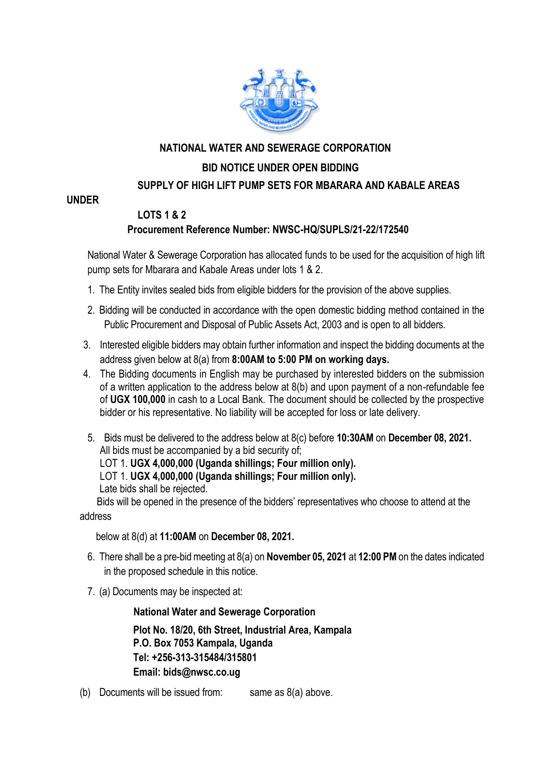

# **NATIONAL WATER AND SEWERAGE CORPORATION**

### **BID NOTICE UNDER OPEN BIDDING**

### **SUPPLY OF HIGH LIFT PUMP SETS FOR MBARARA AND KABALE AREAS**

#### **UNDER**

### **LOTS 1 & 2 Procurement Reference Number: NWSC-HQ/SUPLS/21-22/172540**

National Water & Sewerage Corporation has allocated funds to be used for the acquisition of high lift pump sets for Mbarara and Kabale Areas under lots 1 & 2.

- 1. The Entity invites sealed bids from eligible bidders for the provision of the above supplies.
- 2. Bidding will be conducted in accordance with the open domestic bidding method contained in the Public Procurement and Disposal of Public Assets Act, 2003 and is open to all bidders.
- 3. Interested eligible bidders may obtain further information and inspect the bidding documents at the address given below at 8(a) from **8:00AM to 5:00 PM on working days.**
- 4. The Bidding documents in English may be purchased by interested bidders on the submission of a written application to the address below at 8(b) and upon payment of a non-refundable fee of **UGX 100,000** in cash to a Local Bank. The document should be collected by the prospective bidder or his representative. No liability will be accepted for loss or late delivery.
- 5. Bids must be delivered to the address below at 8(c) before **10:30AM** on **December 08, 2021.** All bids must be accompanied by a bid security of;

LOT 1. **UGX 4,000,000 (Uganda shillings; Four million only).**

LOT 1. **UGX 4,000,000 (Uganda shillings; Four million only).**

Late bids shall be rejected.

 Bids will be opened in the presence of the bidders' representatives who choose to attend at the address

below at 8(d) at **11:00AM** on **December 08, 2021.**

- 6. There shall be a pre-bid meeting at 8(a) on **November 05, 2021** at **12:00 PM** on the dates indicated in the proposed schedule in this notice.
- 7. (a) Documents may be inspected at:

**National Water and Sewerage Corporation**

**Plot No. 18/20, 6th Street, Industrial Area, Kampala P.O. Box 7053 Kampala, Uganda Tel: +256-313-315484/315801 Email: bids@nwsc.co.ug** 

(b) Documents will be issued from: same as  $8(a)$  above.